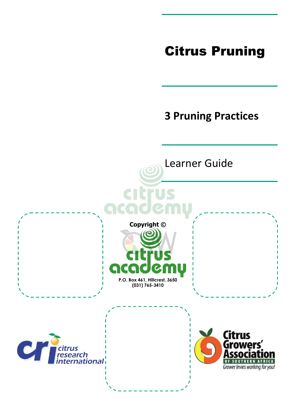# Citrus Pruning

# **3 Pruning Practices**

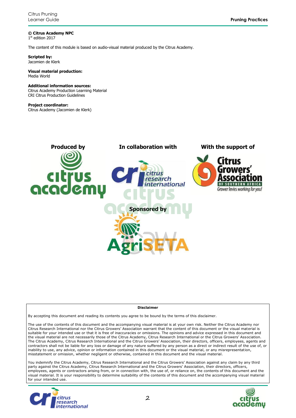**© Citrus Academy NPC** 1 st edition 2017

The content of this module is based on audio-visual material produced by the Citrus Academy.

**Scripted by:** Jacomien de Klerk

#### **Visual material production:** Media World

#### **Additional information sources:**

Citrus Academy Production Learning Material CRI Citrus Production Guidelines

#### **Project coordinator:**

Citrus Academy (Jacomien de Klerk)



#### **Disclaimer**

By accepting this document and reading its contents you agree to be bound by the terms of this disclaimer.

The use of the contents of this document and the accompanying visual material is at your own risk. Neither the Citrus Academy nor Citrus Research International nor the Citrus Growers' Association warrant that the content of this document or the visual material is suitable for your intended use or that it is free of inaccuracies or omissions. The opinions and advice expressed in this document and the visual material are not necessarily those of the Citrus Academy, Citrus Research International or the Citrus Growers' Association. The Citrus Academy, Citrus Research International and the Citrus Growers' Association, their directors, officers, employees, agents and contractors shall not be liable for any loss or damage of any nature suffered by any person as a direct or indirect result of the use of, or inability to use, any advice, opinion or information contained in this document or the visual material, or any misrepresentation, misstatement or omission, whether negligent or otherwise, contained in this document and the visual material.

You indemnify the Citrus Academy, Citrus Research International and the Citrus Growers' Association against any claim by any third party against the Citrus Academy, Citrus Research International and the Citrus Growers' Association, their directors, officers, employees, agents or contractors arising from, or in connection with, the use of, or reliance on, the contents of this document and the visual material. It is your responsibility to determine suitability of the contents of this document and the accompanying visual material for your intended use.



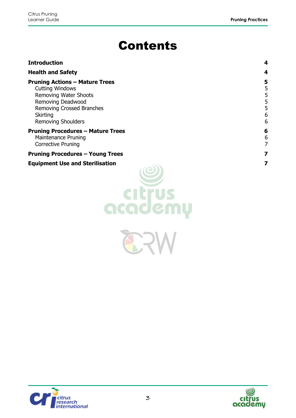# Contents

| <b>Introduction</b>                                                                                                                                                                               | 4                     |
|---------------------------------------------------------------------------------------------------------------------------------------------------------------------------------------------------|-----------------------|
| <b>Health and Safety</b>                                                                                                                                                                          |                       |
| <b>Pruning Actions - Mature Trees</b><br><b>Cutting Windows</b><br><b>Removing Water Shoots</b><br>Removing Deadwood<br>Removing Crossed Branches<br><b>Skirting</b><br><b>Removing Shoulders</b> | 5<br>5<br>5<br>6<br>6 |
| <b>Pruning Procedures - Mature Trees</b><br><b>Maintenance Pruning</b><br><b>Corrective Pruning</b>                                                                                               | 6<br>6                |
| <b>Pruning Procedures - Young Trees</b>                                                                                                                                                           |                       |
| <b>Equipment Use and Sterilisation</b><br>citrus<br>academu                                                                                                                                       | 7                     |

ERV



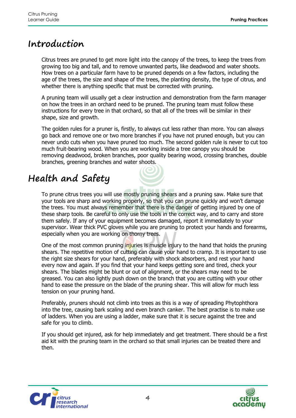### <span id="page-3-0"></span>**Introduction**

Citrus trees are pruned to get more light into the canopy of the trees, to keep the trees from growing too big and tall, and to remove unwanted parts, like deadwood and water shoots. How trees on a particular farm have to be pruned depends on a few factors, including the age of the trees, the size and shape of the trees, the planting density, the type of citrus, and whether there is anything specific that must be corrected with pruning.

A pruning team will usually get a clear instruction and demonstration from the farm manager on how the trees in an orchard need to be pruned. The pruning team must follow these instructions for every tree in that orchard, so that all of the trees will be similar in their shape, size and growth.

The golden rules for a pruner is, firstly, to always cut less rather than more. You can always go back and remove one or two more branches if you have not pruned enough, but you can never undo cuts when you have pruned too much. The second golden rule is never to cut too much fruit-bearing wood. When you are working inside a tree canopy you should be removing deadwood, broken branches, poor quality bearing wood, crossing branches, double branches, greening branches and water shoots.

# <span id="page-3-1"></span>**Health and Safety**

To prune citrus trees you will use mostly pruning shears and a pruning saw. Make sure that your tools are sharp and working properly, so that you can prune quickly and won't damage the trees. You must always remember that there is the danger of getting injured by one of these sharp tools. Be careful to only use the tools in the correct way, and to carry and store them safely. If any of your equipment becomes damaged, report it immediately to your supervisor. Wear thick PVC gloves while you are pruning to protect your hands and forearms, especially when you are working on thorny trees.

One of the most common pruning injuries is muscle injury to the hand that holds the pruning shears. The repetitive motion of cutting can cause your hand to cramp. It is important to use the right size shears for your hand, preferably with shock absorbers, and rest your hand every now and again. If you find that your hand keeps getting sore and tired, check your shears. The blades might be blunt or out of alignment, or the shears may need to be greased. You can also lightly push down on the branch that you are cutting with your other hand to ease the pressure on the blade of the pruning shear. This will allow for much less tension on your pruning hand.

Preferably, pruners should not climb into trees as this is a way of spreading Phytophthora into the tree, causing bark scaling and even branch canker. The best practise is to make use of ladders. When you are using a ladder, make sure that it is secure against the tree and safe for you to climb.

If you should get injured, ask for help immediately and get treatment. There should be a first aid kit with the pruning team in the orchard so that small injuries can be treated there and then.



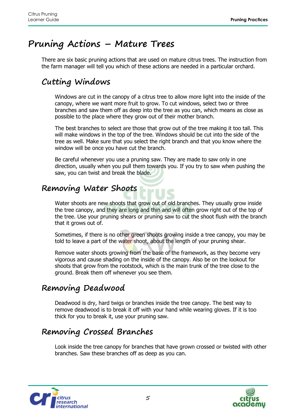## <span id="page-4-0"></span>**Pruning Actions – Mature Trees**

There are six basic pruning actions that are used on mature citrus trees. The instruction from the farm manager will tell you which of these actions are needed in a particular orchard.

### <span id="page-4-1"></span>**Cutting Windows**

Windows are cut in the canopy of a citrus tree to allow more light into the inside of the canopy, where we want more fruit to grow. To cut windows, select two or three branches and saw them off as deep into the tree as you can, which means as close as possible to the place where they grow out of their mother branch.

The best branches to select are those that grow out of the tree making it too tall. This will make windows in the top of the tree. Windows should be cut into the side of the tree as well. Make sure that you select the right branch and that you know where the window will be once you have cut the branch.

Be careful whenever you use a pruning saw. They are made to saw only in one direction, usually when you pull them towards you. If you try to saw when pushing the saw, you can twist and break the blade.

### <span id="page-4-2"></span>**Removing Water Shoots**

Water shoots are new shoots that grow out of old branches. They usually grow inside the tree canopy, and they are long and thin and will often grow right out of the top of the tree. Use your pruning shears or pruning saw to cut the shoot flush with the branch that it grows out of.

Sometimes, if there is no other green shoots growing inside a tree canopy, you may be told to leave a part of the water shoot, about the length of your pruning shear.

Remove water shoots growing from the base of the framework, as they become very vigorous and cause shading on the inside of the canopy. Also be on the lookout for shoots that grow from the rootstock, which is the main trunk of the tree close to the ground. Break them off whenever you see them.

#### <span id="page-4-3"></span>**Removing Deadwood**

Deadwood is dry, hard twigs or branches inside the tree canopy. The best way to remove deadwood is to break it off with your hand while wearing gloves. If it is too thick for you to break it, use your pruning saw.

### <span id="page-4-4"></span>**Removing Crossed Branches**

Look inside the tree canopy for branches that have grown crossed or twisted with other branches. Saw these branches off as deep as you can.



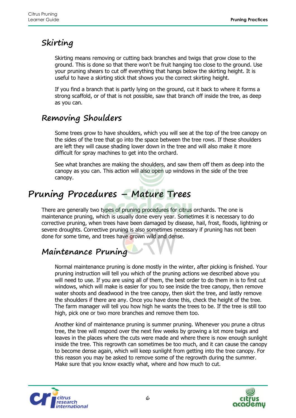### <span id="page-5-0"></span>**Skirting**

Skirting means removing or cutting back branches and twigs that grow close to the ground. This is done so that there won't be fruit hanging too close to the ground. Use your pruning shears to cut off everything that hangs below the skirting height. It is useful to have a skirting stick that shows you the correct skirting height.

If you find a branch that is partly lying on the ground, cut it back to where it forms a strong scaffold, or of that is not possible, saw that branch off inside the tree, as deep as you can.

### <span id="page-5-1"></span>**Removing Shoulders**

Some trees grow to have shoulders, which you will see at the top of the tree canopy on the sides of the tree that go into the space between the tree rows. If these shoulders are left they will cause shading lower down in the tree and will also make it more difficult for spray machines to get into the orchard.

See what branches are making the shoulders, and saw them off them as deep into the canopy as you can. This action will also open up windows in the side of the tree canopy.

## <span id="page-5-2"></span>**Pruning Procedures – Mature Trees**

There are generally two types of pruning procedures for citrus orchards. The one is maintenance pruning, which is usually done every year. Sometimes it is necessary to do corrective pruning, when trees have been damaged by disease, hail, frost, floods, lightning or severe droughts. Corrective pruning is also sometimes necessary if pruning has not been done for some time, and trees have grown wild and dense.

#### <span id="page-5-3"></span>**Maintenance Pruning**

Normal maintenance pruning is done mostly in the winter, after picking is finished. Your pruning instruction will tell you which of the pruning actions we described above you will need to use. If you are using all of them, the best order to do them in is to first cut windows, which will make is easier for you to see inside the tree canopy, then remove water shoots and deadwood in the tree canopy, then skirt the tree, and lastly remove the shoulders if there are any. Once you have done this, check the height of the tree. The farm manager will tell you how high he wants the trees to be. If the tree is still too high, pick one or two more branches and remove them too.

Another kind of maintenance pruning is summer pruning. Whenever you prune a citrus tree, the tree will respond over the next few weeks by growing a lot more twigs and leaves in the places where the cuts were made and where there is now enough sunlight inside the tree. This regrowth can sometimes be too much, and it can cause the canopy to become dense again, which will keep sunlight from getting into the tree canopy. For this reason you may be asked to remove some of the regrowth during the summer. Make sure that you know exactly what, where and how much to cut.